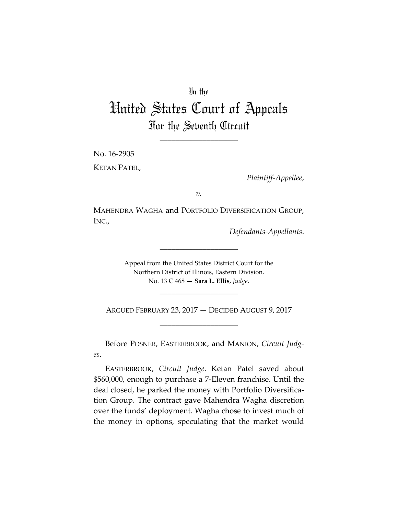## In the

## United States Court of Appeals For the Seventh Circuit

\_\_\_\_\_\_\_\_\_\_\_\_\_\_\_\_\_\_\_\_

No. 16-2905 KETAN PATEL,

*Plaintiff-Appellee*,

*v.*

MAHENDRA WAGHA and PORTFOLIO DIVERSIFICATION GROUP, INC.,

\_\_\_\_\_\_\_\_\_\_\_\_\_\_\_\_\_\_\_\_

*Defendants-Appellants*.

Appeal from the United States District Court for the Northern District of Illinois, Eastern Division. No. 13 C 468 — **Sara L. Ellis**, *Judge*.

ARGUED FEBRUARY 23, 2017 — DECIDED AUGUST 9, 2017 \_\_\_\_\_\_\_\_\_\_\_\_\_\_\_\_\_\_\_\_

\_\_\_\_\_\_\_\_\_\_\_\_\_\_\_\_\_\_\_\_

Before POSNER, EASTERBROOK, and MANION, *Circuit Judges*.

EASTERBROOK, *Circuit Judge*. Ketan Patel saved about \$560,000, enough to purchase a 7-Eleven franchise. Until the deal closed, he parked the money with Portfolio Diversification Group. The contract gave Mahendra Wagha discretion over the funds' deployment. Wagha chose to invest much of the money in options, speculating that the market would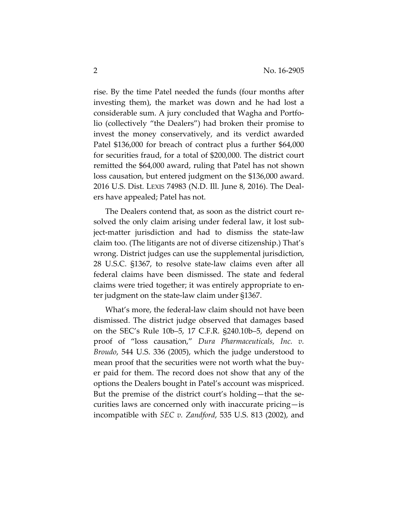rise. By the time Patel needed the funds (four months after investing them), the market was down and he had lost a considerable sum. A jury concluded that Wagha and Portfolio (collectively "the Dealers") had broken their promise to invest the money conservatively, and its verdict awarded Patel \$136,000 for breach of contract plus a further \$64,000 for securities fraud, for a total of \$200,000. The district court remitted the \$64,000 award, ruling that Patel has not shown loss causation, but entered judgment on the \$136,000 award. 2016 U.S. Dist. LEXIS 74983 (N.D. Ill. June 8, 2016). The Dealers have appealed; Patel has not.

The Dealers contend that, as soon as the district court resolved the only claim arising under federal law, it lost subject-matter jurisdiction and had to dismiss the state-law claim too. (The litigants are not of diverse citizenship.) That's wrong. District judges can use the supplemental jurisdiction, 28 U.S.C. §1367, to resolve state-law claims even after all federal claims have been dismissed. The state and federal claims were tried together; it was entirely appropriate to enter judgment on the state-law claim under §1367.

What's more, the federal-law claim should not have been dismissed. The district judge observed that damages based on the SEC's Rule 10b–5, 17 C.F.R. §240.10b–5, depend on proof of "loss causation," *Dura Pharmaceuticals, Inc. v. Broudo*, 544 U.S. 336 (2005), which the judge understood to mean proof that the securities were not worth what the buyer paid for them. The record does not show that any of the options the Dealers bought in Patel's account was mispriced. But the premise of the district court's holding—that the securities laws are concerned only with inaccurate pricing—is incompatible with *SEC v. Zandford*, 535 U.S. 813 (2002), and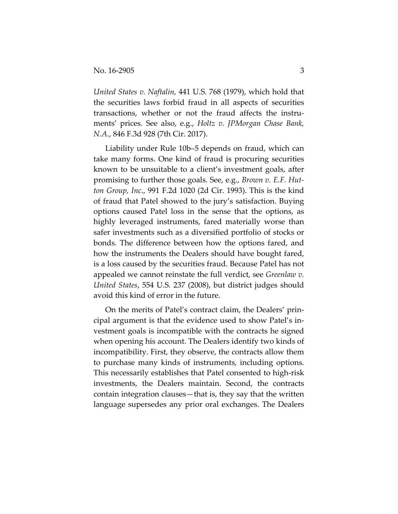*United States v. Naftalin*, 441 U.S. 768 (1979), which hold that the securities laws forbid fraud in all aspects of securities transactions, whether or not the fraud affects the instruments' prices. See also, e.g., *Holtz v. JPMorgan Chase Bank, N.A.*, 846 F.3d 928 (7th Cir. 2017).

Liability under Rule 10b–5 depends on fraud, which can take many forms. One kind of fraud is procuring securities known to be unsuitable to a client's investment goals, after promising to further those goals. See, e.g., *Brown v. E.F. Hutton Group, Inc*., 991 F.2d 1020 (2d Cir. 1993). This is the kind of fraud that Patel showed to the jury's satisfaction. Buying options caused Patel loss in the sense that the options, as highly leveraged instruments, fared materially worse than safer investments such as a diversified portfolio of stocks or bonds. The difference between how the options fared, and how the instruments the Dealers should have bought fared, is a loss caused by the securities fraud. Because Patel has not appealed we cannot reinstate the full verdict, see *Greenlaw v. United States*, 554 U.S. 237 (2008), but district judges should avoid this kind of error in the future.

On the merits of Patel's contract claim, the Dealers' principal argument is that the evidence used to show Patel's investment goals is incompatible with the contracts he signed when opening his account. The Dealers identify two kinds of incompatibility. First, they observe, the contracts allow them to purchase many kinds of instruments, including options. This necessarily establishes that Patel consented to high-risk investments, the Dealers maintain. Second, the contracts contain integration clauses—that is, they say that the written language supersedes any prior oral exchanges. The Dealers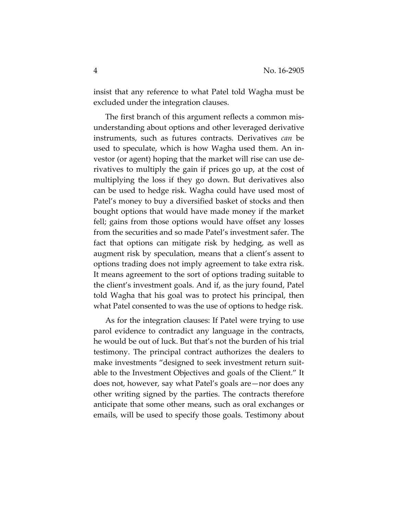insist that any reference to what Patel told Wagha must be excluded under the integration clauses.

The first branch of this argument reflects a common misunderstanding about options and other leveraged derivative instruments, such as futures contracts. Derivatives *can* be used to speculate, which is how Wagha used them. An investor (or agent) hoping that the market will rise can use derivatives to multiply the gain if prices go up, at the cost of multiplying the loss if they go down. But derivatives also can be used to hedge risk. Wagha could have used most of Patel's money to buy a diversified basket of stocks and then bought options that would have made money if the market fell; gains from those options would have offset any losses from the securities and so made Patel's investment safer. The fact that options can mitigate risk by hedging, as well as augment risk by speculation, means that a client's assent to options trading does not imply agreement to take extra risk. It means agreement to the sort of options trading suitable to the client's investment goals. And if, as the jury found, Patel told Wagha that his goal was to protect his principal, then what Patel consented to was the use of options to hedge risk.

As for the integration clauses: If Patel were trying to use parol evidence to contradict any language in the contracts, he would be out of luck. But that's not the burden of his trial testimony. The principal contract authorizes the dealers to make investments "designed to seek investment return suitable to the Investment Objectives and goals of the Client." It does not, however, say what Patel's goals are—nor does any other writing signed by the parties. The contracts therefore anticipate that some other means, such as oral exchanges or emails, will be used to specify those goals. Testimony about